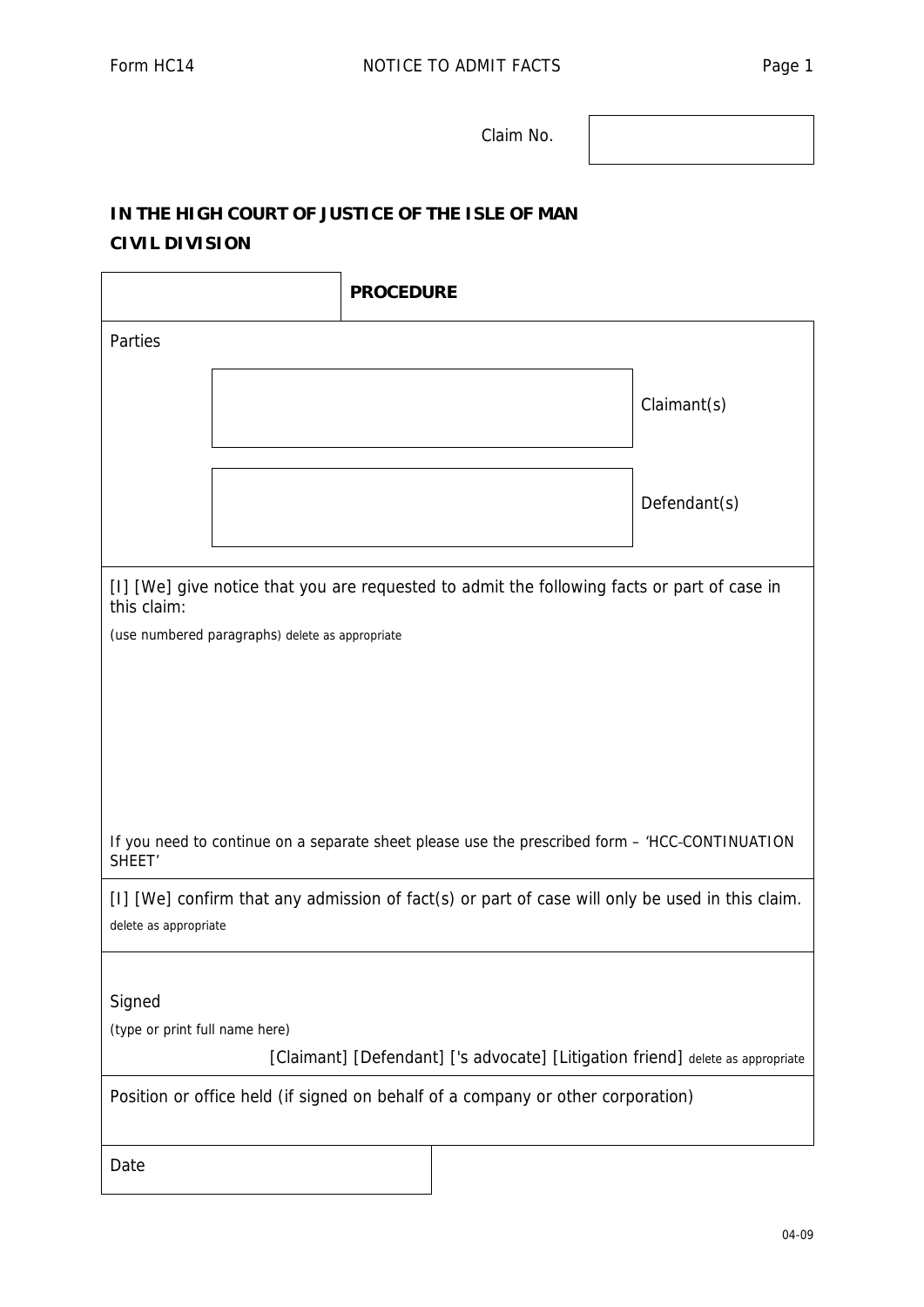Claim No.

## **IN THE HIGH COURT OF JUSTICE OF THE ISLE OF MAN**

## **CIVIL DIVISION**

|                                                                                                                          |  | <b>PROCEDURE</b> |  |  |              |
|--------------------------------------------------------------------------------------------------------------------------|--|------------------|--|--|--------------|
| Parties                                                                                                                  |  |                  |  |  |              |
|                                                                                                                          |  |                  |  |  | Claimant(s)  |
|                                                                                                                          |  |                  |  |  | Defendant(s) |
| [I] [We] give notice that you are requested to admit the following facts or part of case in<br>this claim:               |  |                  |  |  |              |
| (use numbered paragraphs) delete as appropriate                                                                          |  |                  |  |  |              |
|                                                                                                                          |  |                  |  |  |              |
|                                                                                                                          |  |                  |  |  |              |
|                                                                                                                          |  |                  |  |  |              |
|                                                                                                                          |  |                  |  |  |              |
| If you need to continue on a separate sheet please use the prescribed form - 'HCC-CONTINUATION<br>SHEET <sup>'</sup>     |  |                  |  |  |              |
| [I] [We] confirm that any admission of fact(s) or part of case will only be used in this claim.<br>delete as appropriate |  |                  |  |  |              |
|                                                                                                                          |  |                  |  |  |              |
| Signed                                                                                                                   |  |                  |  |  |              |
| (type or print full name here)<br>[Claimant] [Defendant] ['s advocate] [Litigation friend] delete as appropriate         |  |                  |  |  |              |
|                                                                                                                          |  |                  |  |  |              |
| Position or office held (if signed on behalf of a company or other corporation)                                          |  |                  |  |  |              |
| Date                                                                                                                     |  |                  |  |  |              |